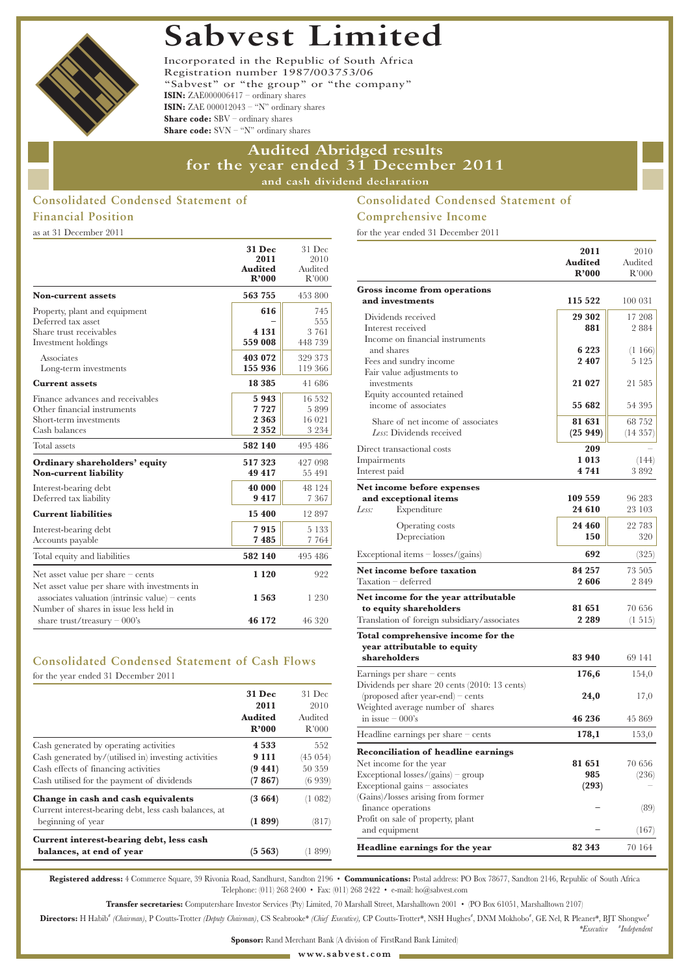# **Sabvest Limited**



Incorporated in the Republic of South Africa Registration number 1987/003753/06 "Sabvest" or "the group" or "the company" **ISIN:** ZAE000006417 – ordinary shares **ISIN:** ZAE 000012043 – "N" ordinary shares **Share code:** SBV – ordinary shares **Share code:** SVN – "N" ordinary shares

# **Audited Abridged results for the year ended 31 December 2011 and cash dividend declaration**

# **Consolidated Condensed Statement of Financial Position**

as at 31 December 2011

|                                                                                                                                           | <b>31 Dec</b><br>2011<br><b>Audited</b><br>R'000 | 31 Dec<br>2010<br>Audited<br>R'000  |
|-------------------------------------------------------------------------------------------------------------------------------------------|--------------------------------------------------|-------------------------------------|
| <b>Non-current assets</b>                                                                                                                 | 563 755                                          | 453 800                             |
| Property, plant and equipment<br>Deferred tax asset<br>Share trust receivables<br>Investment holdings                                     | 616<br>4 1 3 1<br>559 008                        | 745<br>555<br>3 7 6 1<br>448 739    |
| Associates<br>Long-term investments                                                                                                       | 403 072<br>155 936                               | 329 373<br>119 366                  |
| <b>Current assets</b>                                                                                                                     | 18 3 8 5                                         | 41 686                              |
| Finance advances and receivables<br>Other financial instruments<br>Short-term investments<br>Cash balances                                | 5943<br>7727<br>2 3 6 3<br>2 3 5 2               | 16 532<br>5899<br>16 021<br>3 2 3 4 |
| Total assets                                                                                                                              | 582 140                                          | 495 486                             |
| Ordinary shareholders' equity<br><b>Non-current liability</b>                                                                             | 517323<br>49 417                                 | 427 098<br>55 491                   |
| Interest-bearing debt<br>Deferred tax liability                                                                                           | 40 000<br>9417                                   | 48 124<br>7 3 6 7                   |
| <b>Current liabilities</b>                                                                                                                | 15 400                                           | 12897                               |
| Interest-bearing debt<br>Accounts payable                                                                                                 | 7915<br>7485                                     | 5 1 3 3<br>7 7 6 4                  |
| Total equity and liabilities                                                                                                              | 582 140                                          | 495 486                             |
| Net asset value per share $-$ cents                                                                                                       | 1 1 2 0                                          | 922                                 |
| Net asset value per share with investments in<br>associates valuation (intrinsic value) – cents<br>Number of shares in issue less held in | 1563                                             | 1 2 3 0                             |
| share trust/treasury $-000$ 's                                                                                                            | 46 172                                           | 46 320                              |

# **Consolidated Condensed Statement of Cash Flows**

for the year ended 31 December 2011

|                                                                                              | 31 Dec<br>2011<br><b>Audited</b><br>R'000 | $31$ Dec.<br>2010<br>Audited<br>R'000 |
|----------------------------------------------------------------------------------------------|-------------------------------------------|---------------------------------------|
| Cash generated by operating activities                                                       | 4 5 3 3                                   | 552                                   |
| Cash generated by/(utilised in) investing activities                                         | 9 1 1 1                                   | (45 054)                              |
| Cash effects of financing activities                                                         | (9441)                                    | 50 359                                |
| Cash utilised for the payment of dividends                                                   | (7867)                                    | (6939)                                |
| Change in cash and cash equivalents<br>Current interest-bearing debt, less cash balances, at | (3664)                                    | '1 082)                               |
| beginning of year                                                                            | (1899)                                    | (817)                                 |
| Current interest-bearing debt, less cash                                                     |                                           |                                       |
| balances, at end of year                                                                     | (5.563)                                   | -899                                  |

# **Consolidated Condensed Statement of Comprehensive Income**

for the year ended 31 December 2011

|                                                               | 2011    | 2010       |
|---------------------------------------------------------------|---------|------------|
|                                                               | Audited | Audited    |
|                                                               | R'000   | R'000      |
| <b>Gross income from operations</b>                           |         |            |
| and investments                                               | 115 522 | 100 031    |
| Dividends received                                            | 29 302  | 17 208     |
| Interest received                                             | 881     | 2884       |
| Income on financial instruments                               |         |            |
| and shares                                                    | 6 2 2 3 | (1166)     |
| Fees and sundry income                                        | 2 4 0 7 | 5 1 2 5    |
| Fair value adjustments to<br>investments                      | 21 027  | 21 585     |
| Equity accounted retained                                     |         |            |
| income of associates                                          | 55 682  | 54 395     |
|                                                               |         |            |
| Share of net income of associates<br>Less: Dividends received | 81 631  | 68 752     |
|                                                               | (25949) | (14357)    |
| Direct transactional costs                                    | 209     |            |
| Impairments                                                   | 1013    | (144)      |
| Interest paid                                                 | 4 7 4 1 | 3892       |
| Net income before expenses                                    |         |            |
| and exceptional items                                         | 109 559 | 96 283     |
| Less:<br>Expenditure                                          | 24 610  | 23 103     |
| <b>Operating costs</b>                                        | 24 460  | 22 783     |
| Depreciation                                                  | 150     | 320        |
| $Exceptional items - losses/(gains)$                          | 692     | (325)      |
| Net income before taxation                                    | 84 257  | 73 505     |
| Taxation - deferred                                           | 2606    | 2849       |
| Net income for the year attributable                          |         |            |
| to equity shareholders                                        | 81 651  | 70 656     |
| Translation of foreign subsidiary/associates                  | 2 2 8 9 | $(1\;515)$ |
| Total comprehensive income for the                            |         |            |
| year attributable to equity                                   |         |            |
| shareholders                                                  | 83 940  | 69 141     |
| Earnings per share $-$ cents                                  | 176,6   | 154,0      |
| Dividends per share 20 cents (2010: 13 cents)                 |         |            |
| (proposed after year-end) – cents                             | 24,0    | 17,0       |
| Weighted average number of shares                             |         |            |
| in issue $-000$ 's                                            | 46 236  | 45 869     |
| Headline earnings per share – cents                           | 178,1   | 153,0      |
| <b>Reconciliation of headline earnings</b>                    |         |            |
| Net income for the year                                       | 81 651  | 70 656     |
| $Exceptional losses/(gains)$ – group                          | 985     | (236)      |
| Exceptional gains - associates                                | (293)   |            |
| (Gains)/losses arising from former                            |         |            |
| finance operations                                            |         | (89)       |
| Profit on sale of property, plant                             |         |            |
| and equipment                                                 |         | (167)      |
| Headline earnings for the year                                | 82 343  | 70 164     |

*\*Executive* **#** *Independent*

**Registered address:** 4 Commerce Square, 39 Rivonia Road, Sandhurst, Sandton 2196 • **Communications:** Postal address: PO Box 78677, Sandton 2146, Republic of South Africa Telephone: (011) 268 2400 • Fax: (011) 268 2422 • e-mail: ho@sabvest.com

**Transfer secretaries:** Computershare Investor Services (Pty) Limited, 70 Marshall Street, Marshalltown 2001 • (PO Box 61051, Marshalltown 2107)

Directors: H Habib<sup>\*</sup> (Chairman), P Coutts-Trotter (Deputy Chairman), CS Seabrooke\* (Chief Executive), CP Coutts-Trotter\*, NSH Hughes<sup>\*</sup>, DNM Mokhobo<sup>\*</sup>, GE Nel, R Pleaner\*, BJT Shongwe\*

**Sponsor:** Rand Merchant Bank (A division of FirstRand Bank Limited)

**www.sabvest.com**